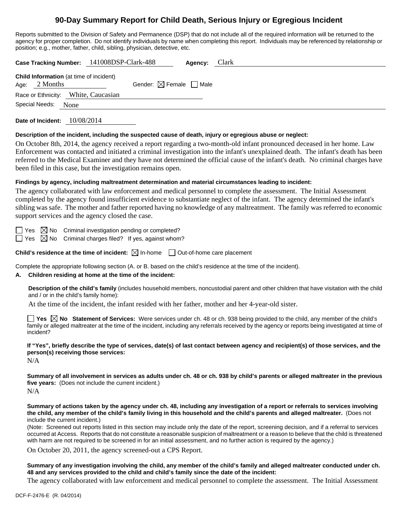# **90-Day Summary Report for Child Death, Serious Injury or Egregious Incident**

Reports submitted to the Division of Safety and Permanence (DSP) that do not include all of the required information will be returned to the agency for proper completion. Do not identify individuals by name when completing this report. Individuals may be referenced by relationship or position; e.g., mother, father, child, sibling, physician, detective, etc.

|                                                                   | Case Tracking Number: 141008DSP-Clark-488 | Agency: | Clark |
|-------------------------------------------------------------------|-------------------------------------------|---------|-------|
| <b>Child Information</b> (at time of incident)<br>Age: $2$ Months | Gender: $\boxtimes$ Female $\Box$ Male    |         |       |
| Race or Ethnicity: White, Caucasian                               |                                           |         |       |
| Special Needs:<br>None                                            |                                           |         |       |
|                                                                   |                                           |         |       |

**Date of Incident:** 10/08/2014

#### **Description of the incident, including the suspected cause of death, injury or egregious abuse or neglect:**

On October 8th, 2014, the agency received a report regarding a two-month-old infant pronounced deceased in her home. Law Enforcement was contacted and initiated a criminal investigation into the infant's unexplained death. The infant's death has been referred to the Medical Examiner and they have not determined the official cause of the infant's death. No criminal charges have been filed in this case, but the investigation remains open.

## **Findings by agency, including maltreatment determination and material circumstances leading to incident:**

The agency collaborated with law enforcement and medical personnel to complete the assessment. The Initial Assessment completed by the agency found insufficient evidence to substantiate neglect of the infant. The agency determined the infant's sibling was safe. The mother and father reported having no knowledge of any maltreatment. The family was referred to economic support services and the agency closed the case.

 $\Box$  Yes  $\boxtimes$  No Criminal investigation pending or completed?

 $\Box$  Yes  $\boxtimes$  No Criminal charges filed? If yes, against whom?

**Child's residence at the time of incident:**  $\boxtimes$  In-home  $\Box$  Out-of-home care placement

Complete the appropriate following section (A. or B. based on the child's residence at the time of the incident).

## **A. Children residing at home at the time of the incident:**

**Description of the child's family** (includes household members, noncustodial parent and other children that have visitation with the child and / or in the child's family home):

At the time of the incident, the infant resided with her father, mother and her 4-year-old sister.

**Yes No Statement of Services:** Were services under ch. 48 or ch. 938 being provided to the child, any member of the child's family or alleged maltreater at the time of the incident, including any referrals received by the agency or reports being investigated at time of incident?

**If "Yes", briefly describe the type of services, date(s) of last contact between agency and recipient(s) of those services, and the person(s) receiving those services:** 

N/A

**Summary of all involvement in services as adults under ch. 48 or ch. 938 by child's parents or alleged maltreater in the previous five years:** (Does not include the current incident.)

 $N/A$ 

**Summary of actions taken by the agency under ch. 48, including any investigation of a report or referrals to services involving the child, any member of the child's family living in this household and the child's parents and alleged maltreater.** (Does not include the current incident.)

(Note: Screened out reports listed in this section may include only the date of the report, screening decision, and if a referral to services occurred at Access. Reports that do not constitute a reasonable suspicion of maltreatment or a reason to believe that the child is threatened with harm are not required to be screened in for an initial assessment, and no further action is required by the agency.)

On October 20, 2011, the agency screened-out a CPS Report.

**Summary of any investigation involving the child, any member of the child's family and alleged maltreater conducted under ch. 48 and any services provided to the child and child's family since the date of the incident:** 

The agency collaborated with law enforcement and medical personnel to complete the assessment. The Initial Assessment